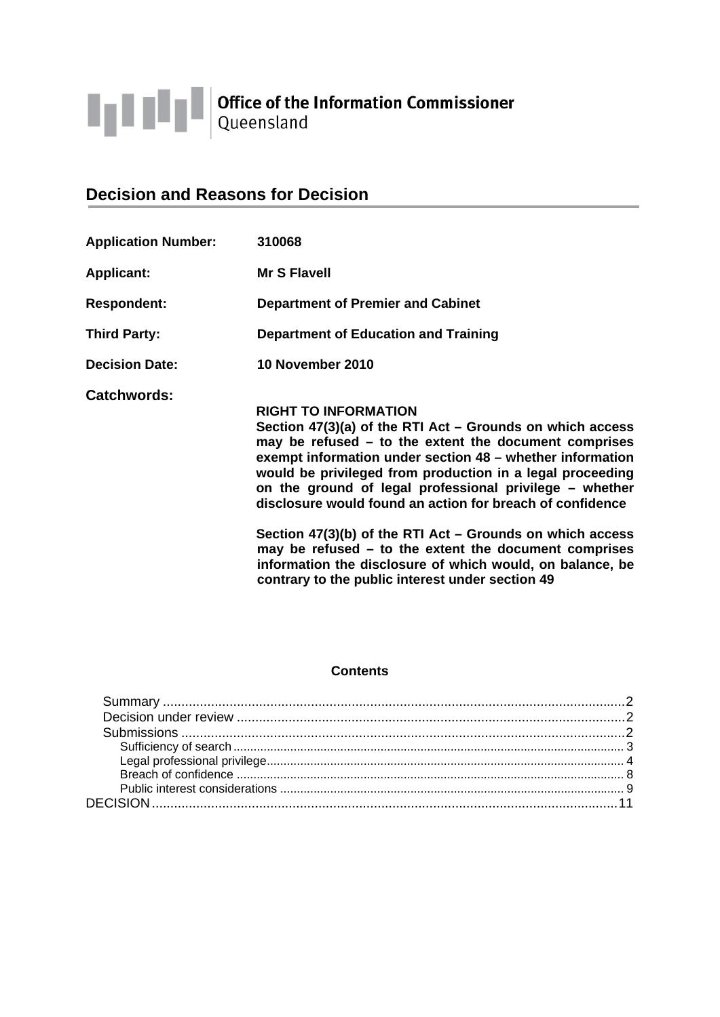

# **Decision and Reasons for Decision**

| <b>Application Number:</b> | 310068                                                                                                                                                                                                                                                                                                                                                                                                |
|----------------------------|-------------------------------------------------------------------------------------------------------------------------------------------------------------------------------------------------------------------------------------------------------------------------------------------------------------------------------------------------------------------------------------------------------|
| <b>Applicant:</b>          | <b>Mr S Flavell</b>                                                                                                                                                                                                                                                                                                                                                                                   |
| <b>Respondent:</b>         | <b>Department of Premier and Cabinet</b>                                                                                                                                                                                                                                                                                                                                                              |
| <b>Third Party:</b>        | <b>Department of Education and Training</b>                                                                                                                                                                                                                                                                                                                                                           |
| <b>Decision Date:</b>      | 10 November 2010                                                                                                                                                                                                                                                                                                                                                                                      |
| <b>Catchwords:</b>         | <b>RIGHT TO INFORMATION</b><br>Section 47(3)(a) of the RTI Act - Grounds on which access<br>may be refused $-$ to the extent the document comprises<br>exempt information under section 48 – whether information<br>would be privileged from production in a legal proceeding<br>on the ground of legal professional privilege – whether<br>disclosure would found an action for breach of confidence |
|                            | Section $47(3)(b)$ of the RTI Act – Grounds on which access<br>may be refused $-$ to the extent the document comprises<br>information the disclosure of which would, on balance, be<br>contrary to the public interest under section 49                                                                                                                                                               |

# **Contents**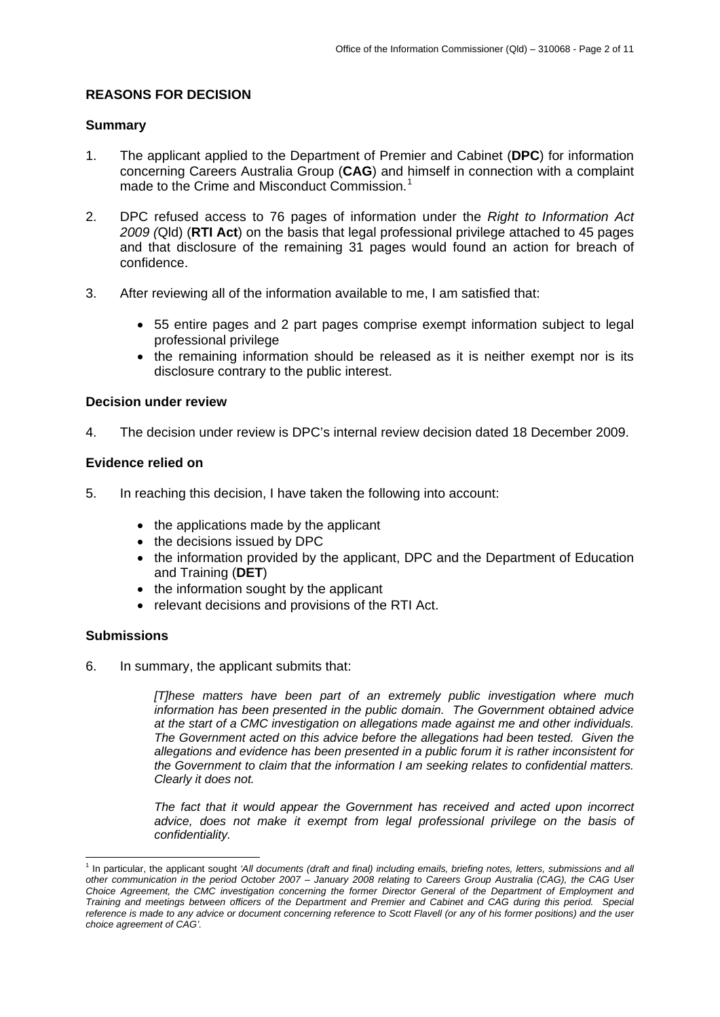# <span id="page-1-0"></span>**REASONS FOR DECISION**

# **Summary**

- 1. The applicant applied to the Department of Premier and Cabinet (**DPC**) for information concerning Careers Australia Group (**CAG**) and himself in connection with a complaint made to the Crime and Misconduct Commission.<sup>[1](#page-1-1)</sup>
- 2. DPC refused access to 76 pages of information under the *Right to Information Act 2009 (*Qld) (**RTI Act**) on the basis that legal professional privilege attached to 45 pages and that disclosure of the remaining 31 pages would found an action for breach of confidence.
- 3. After reviewing all of the information available to me, I am satisfied that:
	- 55 entire pages and 2 part pages comprise exempt information subject to legal professional privilege
	- the remaining information should be released as it is neither exempt nor is its disclosure contrary to the public interest.

## **Decision under review**

4. The decision under review is DPC's internal review decision dated 18 December 2009.

## **Evidence relied on**

- 5. In reaching this decision, I have taken the following into account:
	- the applications made by the applicant
	- the decisions issued by DPC
	- the information provided by the applicant, DPC and the Department of Education and Training (**DET**)
	- the information sought by the applicant
	- relevant decisions and provisions of the RTI Act.

#### **Submissions**

6. In summary, the applicant submits that:

*[T]hese matters have been part of an extremely public investigation where much information has been presented in the public domain. The Government obtained advice at the start of a CMC investigation on allegations made against me and other individuals. The Government acted on this advice before the allegations had been tested. Given the allegations and evidence has been presented in a public forum it is rather inconsistent for the Government to claim that the information I am seeking relates to confidential matters. Clearly it does not.* 

*The fact that it would appear the Government has received and acted upon incorrect advice, does not make it exempt from legal professional privilege on the basis of confidentiality.* 

<span id="page-1-1"></span> 1 In particular, the applicant sought *'All documents (draft and final) including emails, briefing notes, letters, submissions and all other communication in the period October 2007 – January 2008 relating to Careers Group Australia (CAG), the CAG User Choice Agreement, the CMC investigation concerning the former Director General of the Department of Employment and Training and meetings between officers of the Department and Premier and Cabinet and CAG during this period. Special reference is made to any advice or document concerning reference to Scott Flavell (or any of his former positions) and the user choice agreement of CAG'.*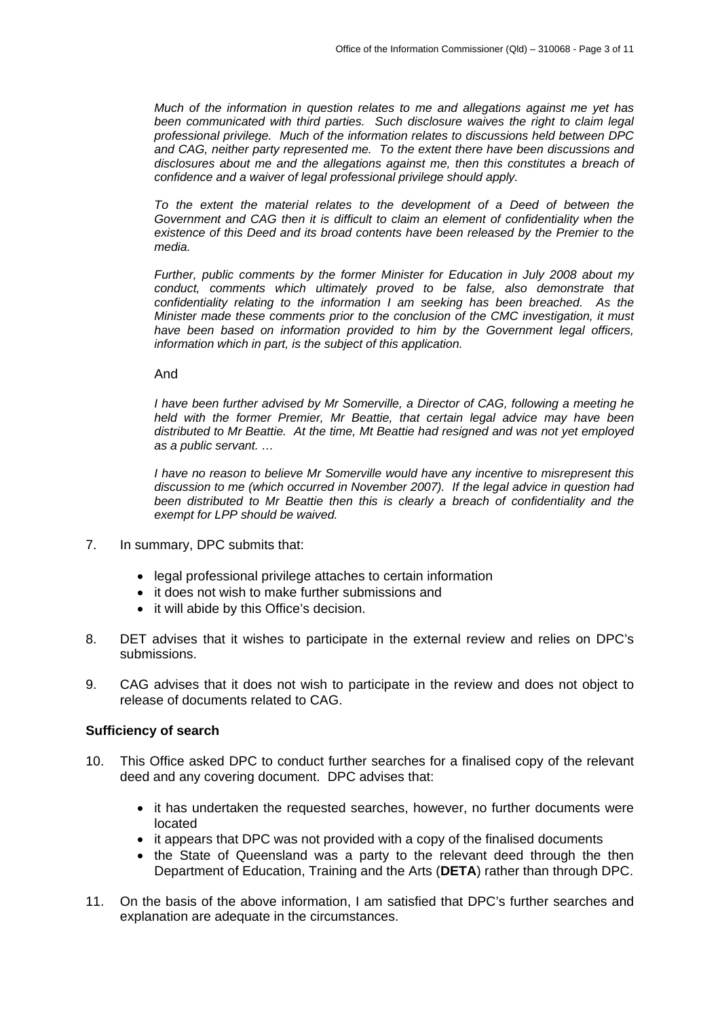<span id="page-2-0"></span>*Much of the information in question relates to me and allegations against me yet has been communicated with third parties. Such disclosure waives the right to claim legal professional privilege. Much of the information relates to discussions held between DPC and CAG, neither party represented me. To the extent there have been discussions and disclosures about me and the allegations against me, then this constitutes a breach of confidence and a waiver of legal professional privilege should apply.* 

*To the extent the material relates to the development of a Deed of between the Government and CAG then it is difficult to claim an element of confidentiality when the existence of this Deed and its broad contents have been released by the Premier to the media.* 

*Further, public comments by the former Minister for Education in July 2008 about my conduct, comments which ultimately proved to be false, also demonstrate that confidentiality relating to the information I am seeking has been breached. As the Minister made these comments prior to the conclusion of the CMC investigation, it must have been based on information provided to him by the Government legal officers, information which in part, is the subject of this application.*

And

*I have been further advised by Mr Somerville, a Director of CAG, following a meeting he held with the former Premier, Mr Beattie, that certain legal advice may have been distributed to Mr Beattie. At the time, Mt Beattie had resigned and was not yet employed as a public servant. …* 

*I have no reason to believe Mr Somerville would have any incentive to misrepresent this discussion to me (which occurred in November 2007). If the legal advice in question had been distributed to Mr Beattie then this is clearly a breach of confidentiality and the exempt for LPP should be waived.* 

- 7. In summary, DPC submits that:
	- legal professional privilege attaches to certain information
	- it does not wish to make further submissions and
	- it will abide by this Office's decision.
- 8. DET advises that it wishes to participate in the external review and relies on DPC's submissions.
- 9. CAG advises that it does not wish to participate in the review and does not object to release of documents related to CAG.

#### **Sufficiency of search**

- 10. This Office asked DPC to conduct further searches for a finalised copy of the relevant deed and any covering document. DPC advises that:
	- it has undertaken the requested searches, however, no further documents were located
	- it appears that DPC was not provided with a copy of the finalised documents
	- the State of Queensland was a party to the relevant deed through the then Department of Education, Training and the Arts (**DETA**) rather than through DPC.
- 11. On the basis of the above information, I am satisfied that DPC's further searches and explanation are adequate in the circumstances.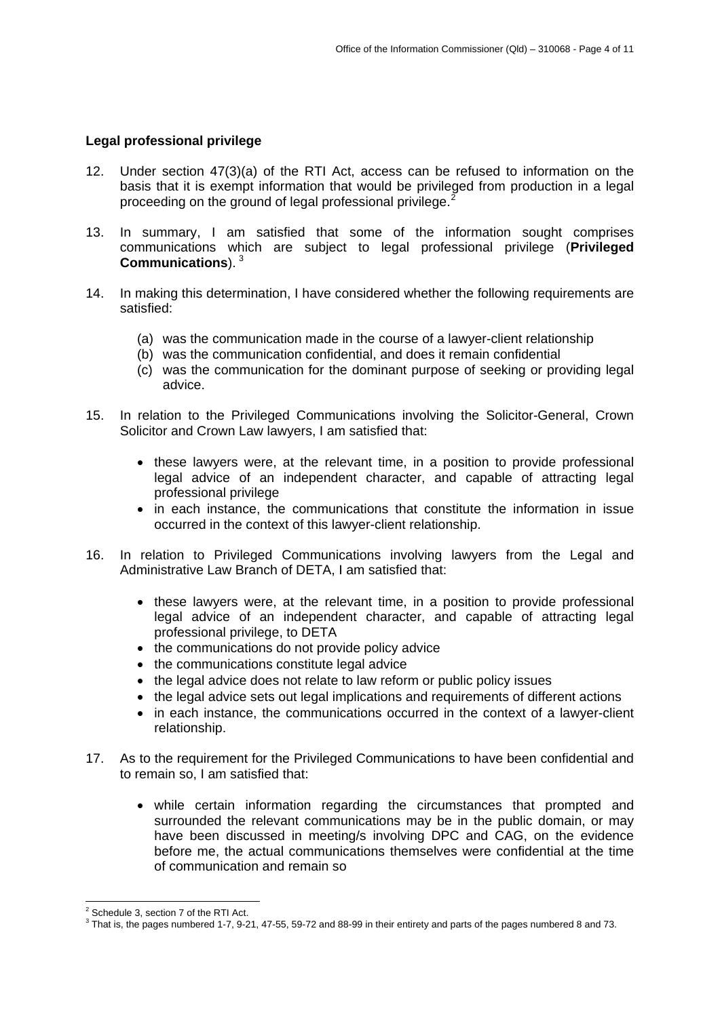## <span id="page-3-0"></span>**Legal professional privilege**

- 12. Under section 47(3)(a) of the RTI Act, access can be refused to information on the basis that it is exempt information that would be privileged from production in a legal proceeding on the ground of legal professional privilege.<sup>[2](#page-3-1)</sup>
- 13. In summary, I am satisfied that some of the information sought comprises communications which are subject to legal professional privilege (**Privileged Communications**). [3](#page-3-2)
- 14. In making this determination, I have considered whether the following requirements are satisfied:
	- (a) was the communication made in the course of a lawyer-client relationship
	- (b) was the communication confidential, and does it remain confidential
	- (c) was the communication for the dominant purpose of seeking or providing legal advice.
- 15. In relation to the Privileged Communications involving the Solicitor-General, Crown Solicitor and Crown Law lawyers, I am satisfied that:
	- these lawyers were, at the relevant time, in a position to provide professional legal advice of an independent character, and capable of attracting legal professional privilege
	- in each instance, the communications that constitute the information in issue occurred in the context of this lawyer-client relationship.
- 16. In relation to Privileged Communications involving lawyers from the Legal and Administrative Law Branch of DETA, I am satisfied that:
	- these lawyers were, at the relevant time, in a position to provide professional legal advice of an independent character, and capable of attracting legal professional privilege, to DETA
	- the communications do not provide policy advice
	- the communications constitute legal advice
	- the legal advice does not relate to law reform or public policy issues
	- the legal advice sets out legal implications and requirements of different actions
	- in each instance, the communications occurred in the context of a lawyer-client relationship.
- 17. As to the requirement for the Privileged Communications to have been confidential and to remain so, I am satisfied that:
	- while certain information regarding the circumstances that prompted and surrounded the relevant communications may be in the public domain, or may have been discussed in meeting/s involving DPC and CAG, on the evidence before me, the actual communications themselves were confidential at the time of communication and remain so

<sup>-</sup><sup>2</sup> Schedule 3, section 7 of the RTI Act.

<span id="page-3-2"></span><span id="page-3-1"></span> $3$  That is, the pages numbered 1-7, 9-21, 47-55, 59-72 and 88-99 in their entirety and parts of the pages numbered 8 and 73.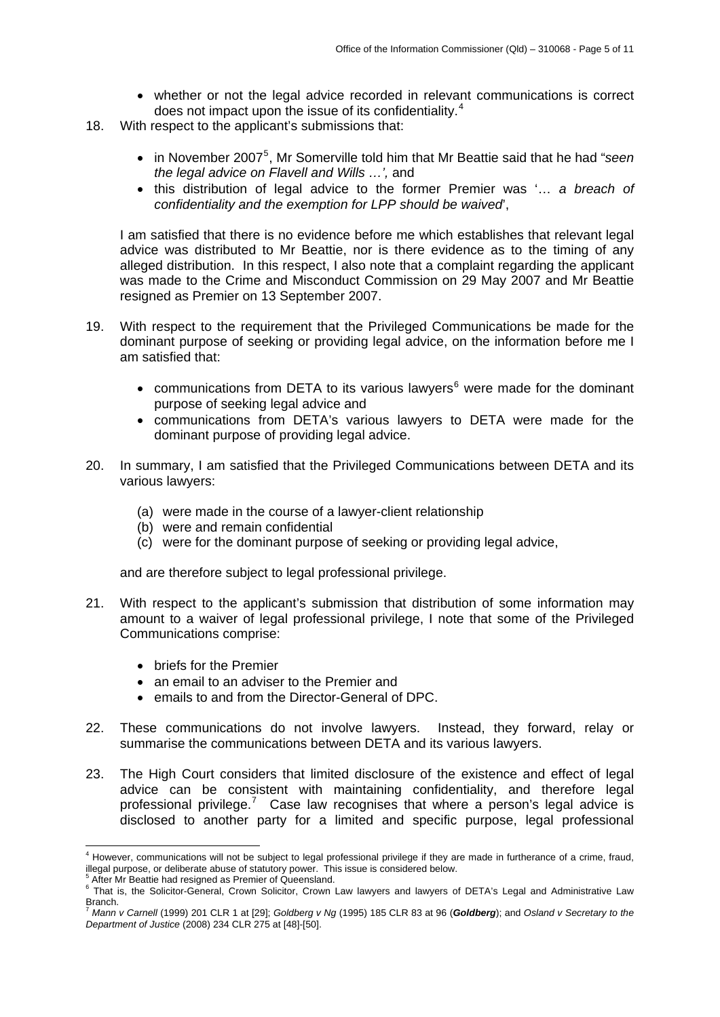- whether or not the legal advice recorded in relevant communications is correct does not impact upon the issue of its confidentiality.[4](#page-4-0)
- 18. With respect to the applicant's submissions that:
	- in November 2007<sup>[5](#page-4-1)</sup>, Mr Somerville told him that Mr Beattie said that he had "seen *the legal advice on Flavell and Wills …',* and
	- this distribution of legal advice to the former Premier was '… *a breach of confidentiality and the exemption for LPP should be waived*',

I am satisfied that there is no evidence before me which establishes that relevant legal advice was distributed to Mr Beattie, nor is there evidence as to the timing of any alleged distribution. In this respect, I also note that a complaint regarding the applicant was made to the Crime and Misconduct Commission on 29 May 2007 and Mr Beattie resigned as Premier on 13 September 2007.

- 19. With respect to the requirement that the Privileged Communications be made for the dominant purpose of seeking or providing legal advice, on the information before me I am satisfied that:
	- communications from DETA to its various lawyers $<sup>6</sup>$  $<sup>6</sup>$  $<sup>6</sup>$  were made for the dominant</sup> purpose of seeking legal advice and
	- communications from DETA's various lawyers to DETA were made for the dominant purpose of providing legal advice.
- 20. In summary, I am satisfied that the Privileged Communications between DETA and its various lawyers:
	- (a) were made in the course of a lawyer-client relationship
	- (b) were and remain confidential
	- (c) were for the dominant purpose of seeking or providing legal advice,

and are therefore subject to legal professional privilege.

- 21. With respect to the applicant's submission that distribution of some information may amount to a waiver of legal professional privilege, I note that some of the Privileged Communications comprise:
	- briefs for the Premier
	- an email to an adviser to the Premier and
	- emails to and from the Director-General of DPC.
- 22. These communications do not involve lawyers. Instead, they forward, relay or summarise the communications between DETA and its various lawyers.
- 23. The High Court considers that limited disclosure of the existence and effect of legal advice can be consistent with maintaining confidentiality, and therefore legal professional privilege.<sup>[7](#page-4-3)</sup> Case law recognises that where a person's legal advice is disclosed to another party for a limited and specific purpose, legal professional

<span id="page-4-0"></span> 4 However, communications will not be subject to legal professional privilege if they are made in furtherance of a crime, fraud, illegal purpose, or deliberate abuse of statutory power. This issue is considered below. 5

<span id="page-4-2"></span><span id="page-4-1"></span>After Mr Beattie had resigned as Premier of Queensland.

<sup>&</sup>lt;sup>6</sup> That is, the Solicitor-General, Crown Solicitor, Crown Law lawyers and lawyers of DETA's Legal and Administrative Law Branch. <sup>7</sup> *Mann v Carnell* (1999) 201 CLR 1 at [29]; *Goldberg v Ng* (1995) 185 CLR 83 at 96 (*Goldberg*); and *Osland v Secretary to the* 

<span id="page-4-3"></span>*Department of Justice* (2008) 234 CLR 275 at [48]-[50].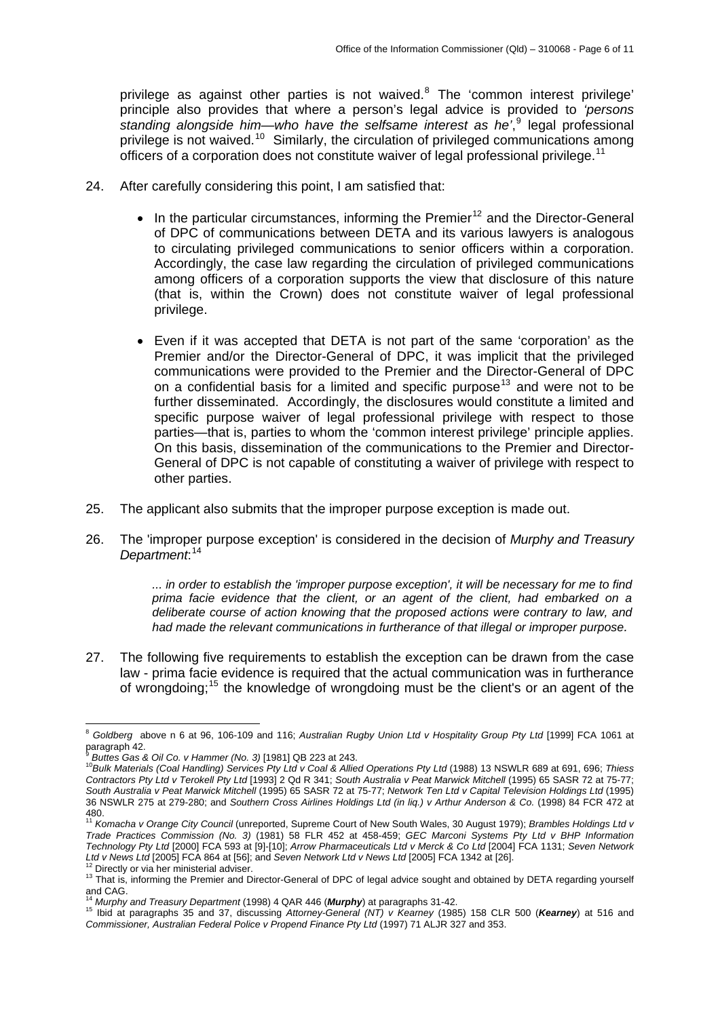privilege as against other parties is not waived. $8$  The 'common interest privilege' principle also provides that where a person's legal advice is provided to *'persons*  standing alongside him—who have the selfsame interest as he<sup>',[9](#page-5-1)</sup> legal professional privilege is not waived.<sup>[10](#page-5-2)</sup> Similarly, the circulation of privileged communications among officers of a corporation does not constitute waiver of legal professional privilege.<sup>[11](#page-5-3)</sup>

- 24. After carefully considering this point, I am satisfied that:
	- In the particular circumstances, informing the Premier<sup>[12](#page-5-4)</sup> and the Director-General of DPC of communications between DETA and its various lawyers is analogous to circulating privileged communications to senior officers within a corporation. Accordingly, the case law regarding the circulation of privileged communications among officers of a corporation supports the view that disclosure of this nature (that is, within the Crown) does not constitute waiver of legal professional privilege.
	- Even if it was accepted that DETA is not part of the same 'corporation' as the Premier and/or the Director-General of DPC, it was implicit that the privileged communications were provided to the Premier and the Director-General of DPC on a confidential basis for a limited and specific purpose<sup>[13](#page-5-5)</sup> and were not to be further disseminated. Accordingly, the disclosures would constitute a limited and specific purpose waiver of legal professional privilege with respect to those parties—that is, parties to whom the 'common interest privilege' principle applies. On this basis, dissemination of the communications to the Premier and Director-General of DPC is not capable of constituting a waiver of privilege with respect to other parties.
- 25. The applicant also submits that the improper purpose exception is made out.
- 26. The 'improper purpose exception' is considered in the decision of *Murphy and Treasury Department*: [14](#page-5-6)

 *... in order to establish the 'improper purpose exception', it will be necessary for me to find prima facie evidence that the client, or an agent of the client, had embarked on a deliberate course of action knowing that the proposed actions were contrary to law, and had made the relevant communications in furtherance of that illegal or improper purpose.*

27. The following five requirements to establish the exception can be drawn from the case law - prima facie evidence is required that the actual communication was in furtherance of wrongdoing;[15](#page-5-7) the knowledge of wrongdoing must be the client's or an agent of the

 $\overline{a}$ 

<span id="page-5-0"></span><sup>8</sup> *Goldberg* above n 6 at 96, 106-109 and 116; *Australian Rugby Union Ltd v Hospitality Group Pty Ltd* [1999] FCA 1061 at paragraph 42.<br><sup>9</sup> Buttes Gas & Oil Co. v Hammer (No. 3) [1981] QB 223 at 243.

<span id="page-5-2"></span><span id="page-5-1"></span><sup>9</sup> *Buttes Gas & Oil Co. v Hammer (No. 3)* [1981] QB 223 at 243. 10*Bulk Materials (Coal Handling) Services Pty Ltd v Coal & Allied Operations Pty Ltd* (1988) 13 NSWLR 689 at 691, 696; *Thiess Contractors Pty Ltd v Terokell Pty Ltd* [1993] 2 Qd R 341; *South Australia v Peat Marwick Mitchell* (1995) 65 SASR 72 at 75-77; *South Australia v Peat Marwick Mitchell* (1995) 65 SASR 72 at 75-77; *Network Ten Ltd v Capital Television Holdings Ltd* (1995) 36 NSWLR 275 at 279-280; and *Southern Cross Airlines Holdings Ltd (in liq.) v Arthur Anderson & Co.* (1998) 84 FCR 472 at

<span id="page-5-3"></span><sup>480.</sup>  <sup>11</sup> *Komacha v Orange City Council* (unreported, Supreme Court of New South Wales, 30 August 1979); *Brambles Holdings Ltd v Trade Practices Commission (No. 3)* (1981) 58 FLR 452 at 458-459; *GEC Marconi Systems Pty Ltd v BHP Information Technology Pty Ltd* [2000] FCA 593 at [9]-[10]; *Arrow Pharmaceuticals Ltd v Merck & Co Ltd* [2004] FCA 1131; *Seven Network* 

<span id="page-5-5"></span><span id="page-5-4"></span><sup>&</sup>lt;sup>12</sup> Directly or via her ministerial adviser.<br><sup>13</sup> That is, informing the Premier and Director-General of DPC of legal advice sought and obtained by DETA regarding yourself and CAG.<br><sup>14</sup> Murphy and Treasury Department (1998) 4 QAR 446 (Murphy) at paragraphs 31-42.

<span id="page-5-7"></span><span id="page-5-6"></span><sup>14</sup> *Murphy and Treasury Department* (1998) 4 QAR 446 (*Murphy*) at paragraphs 31-42. 15 Ibid at paragraphs 35 and 37, discussing *Attorney-General (NT) v Kearney* (1985) 158 CLR 500 (*Kearney*) at 516 and *Commissioner, Australian Federal Police v Propend Finance Pty Ltd* (1997) 71 ALJR 327 and 353.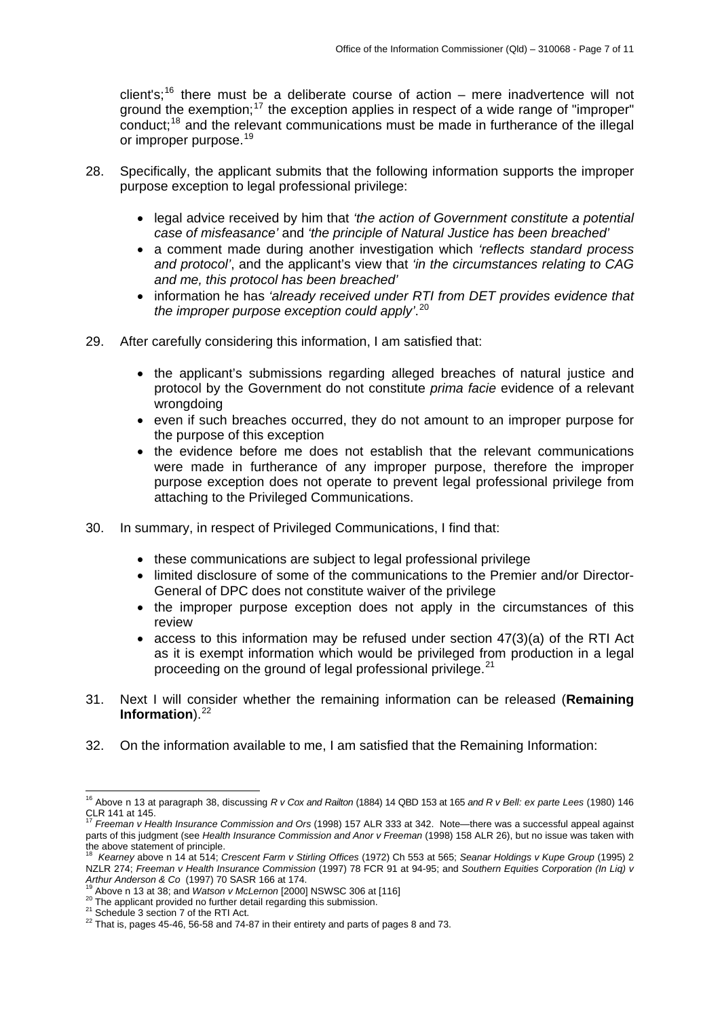client's;<sup>[16](#page-6-0)</sup> there must be a deliberate course of action – mere inadvertence will not ground the exemption;<sup>[17](#page-6-1)</sup> the exception applies in respect of a wide range of "improper" conduct;<sup>[18](#page-6-2)</sup> and the relevant communications must be made in furtherance of the illegal or improper purpose.<sup>[19](#page-6-3)</sup>

- 28. Specifically, the applicant submits that the following information supports the improper purpose exception to legal professional privilege:
	- legal advice received by him that *'the action of Government constitute a potential case of misfeasance'* and *'the principle of Natural Justice has been breached'*
	- a comment made during another investigation which *'reflects standard process and protocol'*, and the applicant's view that *'in the circumstances relating to CAG and me, this protocol has been breached'*
	- information he has *'already received under RTI from DET provides evidence that the improper purpose exception could apply'*. [20](#page-6-4)
- 29. After carefully considering this information, I am satisfied that:
	- the applicant's submissions regarding alleged breaches of natural justice and protocol by the Government do not constitute *prima facie* evidence of a relevant wrongdoing
	- even if such breaches occurred, they do not amount to an improper purpose for the purpose of this exception
	- the evidence before me does not establish that the relevant communications were made in furtherance of any improper purpose, therefore the improper purpose exception does not operate to prevent legal professional privilege from attaching to the Privileged Communications.
- 30. In summary, in respect of Privileged Communications, I find that:
	- these communications are subject to legal professional privilege
	- limited disclosure of some of the communications to the Premier and/or Director-General of DPC does not constitute waiver of the privilege
	- the improper purpose exception does not apply in the circumstances of this review
	- access to this information may be refused under section 47(3)(a) of the RTI Act as it is exempt information which would be privileged from production in a legal proceeding on the ground of legal professional privilege.<sup>[21](#page-6-5)</sup>
- 31. Next I will consider whether the remaining information can be released (**Remaining Information**).<sup>[22](#page-6-6)</sup>
- 32. On the information available to me, I am satisfied that the Remaining Information:

<span id="page-6-0"></span><sup>-</sup>16 Above n 13 at paragraph 38, discussing *R v Cox and Railton* (1884) 14 QBD 153 at 165 *and R v Bell: ex parte Lees* (1980) 146 clear 113 at CLR 141 at 145.<br><sup>17</sup> C

<span id="page-6-1"></span><sup>17</sup> *Freeman v Health Insurance Commission and Ors* (1998) 157 ALR 333 at 342. Note—there was a successful appeal against parts of this judgment (see *Health Insurance Commission and Anor v Freeman* (1998) 158 ALR 26), but no issue was taken with the above statement of principle.

<span id="page-6-2"></span><sup>18</sup> *Kearney* above n 14 at 514; *Crescent Farm v Stirling Offices* (1972) Ch 553 at 565; *Seanar Holdings v Kupe Group* (1995) 2 NZLR 274; *Freeman v Health Insurance Commission* (1997) 78 FCR 91 at 94-95; and *Southern Equities Corporation (In Liq) v* 

<span id="page-6-6"></span><span id="page-6-5"></span>

<span id="page-6-4"></span><span id="page-6-3"></span><sup>&</sup>lt;sup>19</sup> Above n 13 at 38; and *Watson v McLernon* [2000] NSWSC 306 at [116]<br><sup>20</sup> The applicant provided no further detail regarding this submission.<br><sup>21</sup> Schedule 3 section 7 of the RTI Act.<br><sup>22</sup> That is, pages 45-46, 56-58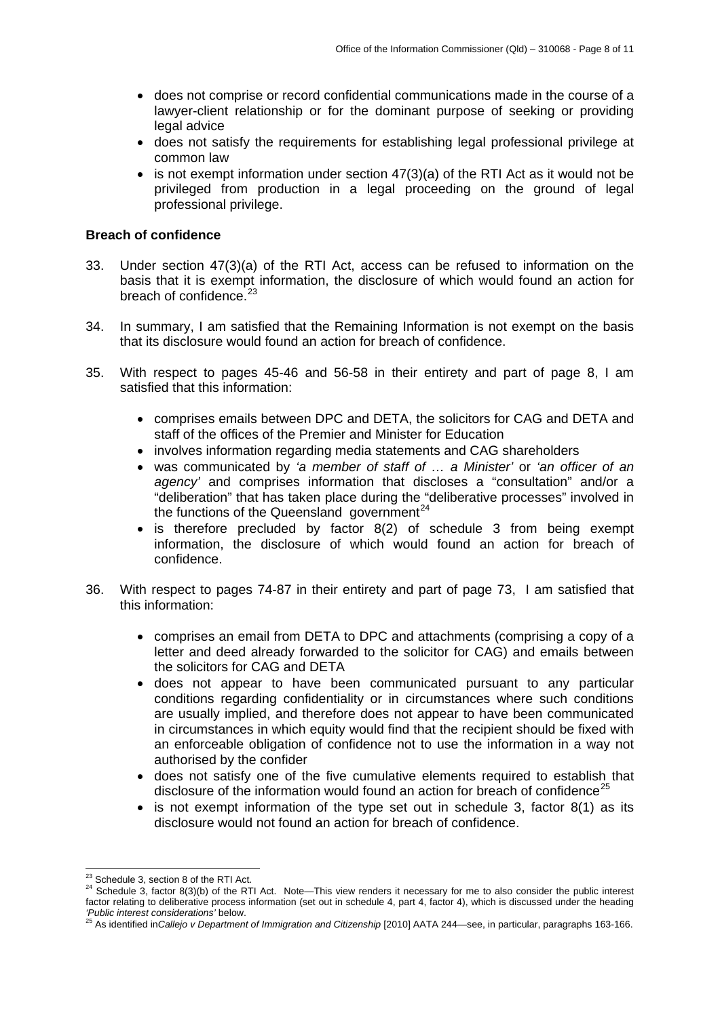- <span id="page-7-0"></span>• does not comprise or record confidential communications made in the course of a lawyer-client relationship or for the dominant purpose of seeking or providing legal advice
- does not satisfy the requirements for establishing legal professional privilege at common law
- is not exempt information under section 47(3)(a) of the RTI Act as it would not be privileged from production in a legal proceeding on the ground of legal professional privilege.

# **Breach of confidence**

- 33. Under section 47(3)(a) of the RTI Act, access can be refused to information on the basis that it is exempt information, the disclosure of which would found an action for breach of confidence. $23$
- 34. In summary, I am satisfied that the Remaining Information is not exempt on the basis that its disclosure would found an action for breach of confidence.
- 35. With respect to pages 45-46 and 56-58 in their entirety and part of page 8, I am satisfied that this information:
	- comprises emails between DPC and DETA, the solicitors for CAG and DETA and staff of the offices of the Premier and Minister for Education
	- involves information regarding media statements and CAG shareholders
	- was communicated by *'a member of staff of … a Minister'* or *'an officer of an agency'* and comprises information that discloses a "consultation" and/or a "deliberation" that has taken place during the "deliberative processes" involved in the functions of the Queensland government $^{24}$  $^{24}$  $^{24}$
	- is therefore precluded by factor 8(2) of schedule 3 from being exempt information, the disclosure of which would found an action for breach of confidence.
- 36. With respect to pages 74-87 in their entirety and part of page 73, I am satisfied that this information:
	- comprises an email from DETA to DPC and attachments (comprising a copy of a letter and deed already forwarded to the solicitor for CAG) and emails between the solicitors for CAG and DETA
	- does not appear to have been communicated pursuant to any particular conditions regarding confidentiality or in circumstances where such conditions are usually implied, and therefore does not appear to have been communicated in circumstances in which equity would find that the recipient should be fixed with an enforceable obligation of confidence not to use the information in a way not authorised by the confider
	- does not satisfy one of the five cumulative elements required to establish that disclosure of the information would found an action for breach of confidence<sup>[25](#page-7-3)</sup>
	- is not exempt information of the type set out in schedule 3, factor 8(1) as its disclosure would not found an action for breach of confidence.

<span id="page-7-1"></span><sup>&</sup>lt;sup>23</sup> Schedule 3, section 8 of the RTI Act.

<span id="page-7-2"></span><sup>&</sup>lt;sup>24</sup> Schedule 3, factor  $8(3)(b)$  of the RTI Act. Note—This view renders it necessary for me to also consider the public interest factor relating to deliberative process information (set out in schedule 4, part 4, factor 4), which is discussed under the heading 'Public interest considerations' below.

<span id="page-7-3"></span>*<sup>&#</sup>x27;Public interest considerations'* below. 25 As identified in*Callejo v Department of Immigration and Citizenship* [2010] AATA 244—see, in particular, paragraphs 163-166.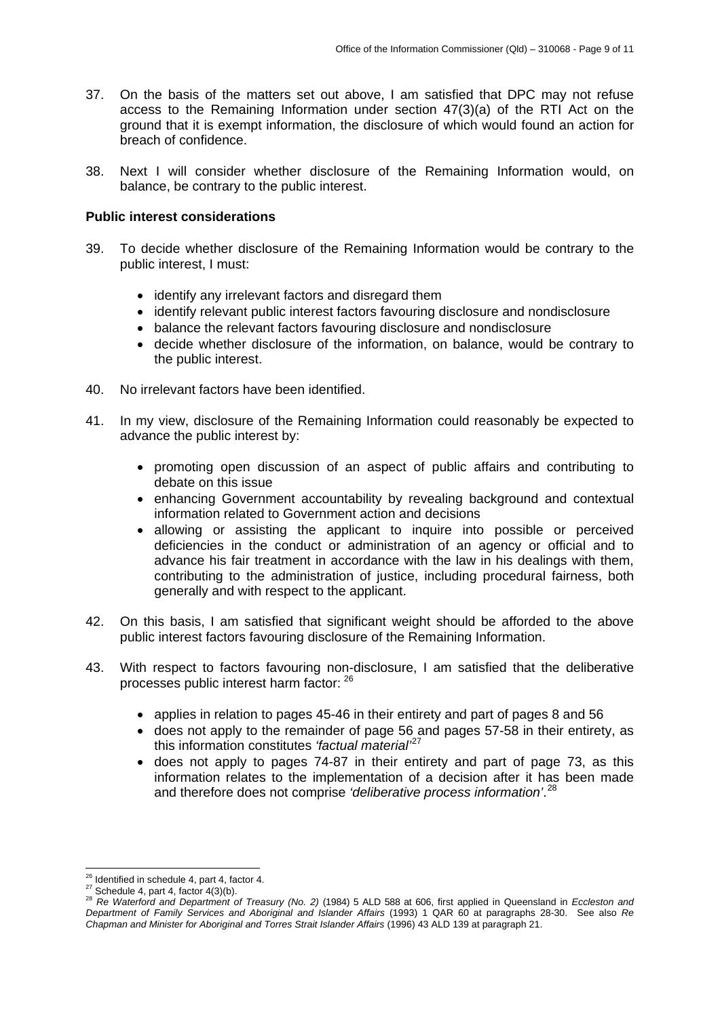- <span id="page-8-0"></span>37. On the basis of the matters set out above, I am satisfied that DPC may not refuse access to the Remaining Information under section 47(3)(a) of the RTI Act on the ground that it is exempt information, the disclosure of which would found an action for breach of confidence.
- 38. Next I will consider whether disclosure of the Remaining Information would, on balance, be contrary to the public interest.

#### **Public interest considerations**

- 39. To decide whether disclosure of the Remaining Information would be contrary to the public interest, I must:
	- identify any irrelevant factors and disregard them
	- identify relevant public interest factors favouring disclosure and nondisclosure
	- balance the relevant factors favouring disclosure and nondisclosure
	- decide whether disclosure of the information, on balance, would be contrary to the public interest.
- 40. No irrelevant factors have been identified.
- 41. In my view, disclosure of the Remaining Information could reasonably be expected to advance the public interest by:
	- promoting open discussion of an aspect of public affairs and contributing to debate on this issue
	- enhancing Government accountability by revealing background and contextual information related to Government action and decisions
	- allowing or assisting the applicant to inquire into possible or perceived deficiencies in the conduct or administration of an agency or official and to advance his fair treatment in accordance with the law in his dealings with them, contributing to the administration of justice, including procedural fairness, both generally and with respect to the applicant.
- 42. On this basis, I am satisfied that significant weight should be afforded to the above public interest factors favouring disclosure of the Remaining Information.
- 43. With respect to factors favouring non-disclosure, I am satisfied that the deliberative processes public interest harm factor: [26](#page-8-1)
	- applies in relation to pages 45-46 in their entirety and part of pages 8 and 56
	- does not apply to the remainder of page 56 and pages 57-58 in their entirety, as this information constitutes *'factual material'*[27](#page-8-2)
	- does not apply to pages 74-87 in their entirety and part of page 73, as this information relates to the implementation of a decision after it has been made and therefore does not comprise *'deliberative process information'*. [28](#page-8-3)

<span id="page-8-1"></span><sup>&</sup>lt;sup>26</sup> Identified in schedule 4, part 4, factor 4.

<span id="page-8-3"></span>

<span id="page-8-2"></span><sup>26</sup> Identified in schedule 4, part 4, factor 4. 27 Schedule 4, part 4, factor 4(3)(b). 28 *Re Waterford and Department of Treasury (No. 2)* (1984) 5 ALD 588 at 606, first applied in Queensland in *Eccleston and Department of Family Services and Aboriginal and Islander Affairs* (1993) 1 QAR 60 at paragraphs 28-30. See also *Re Chapman and Minister for Aboriginal and Torres Strait Islander Affairs* (1996) 43 ALD 139 at paragraph 21.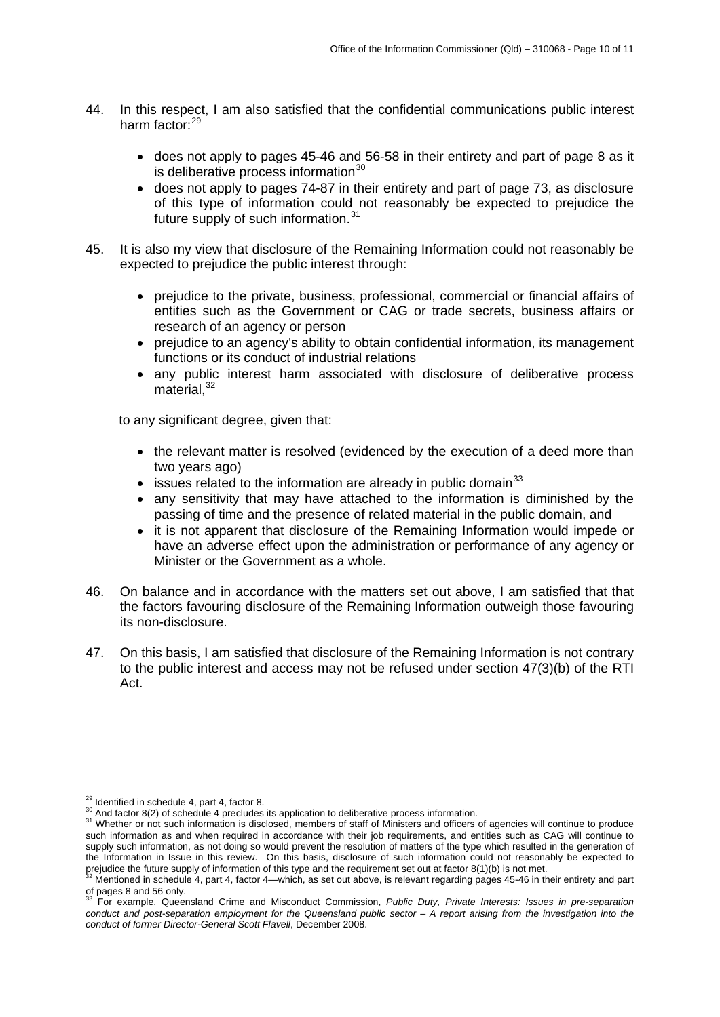- 44. In this respect, I am also satisfied that the confidential communications public interest harm factor:<sup>[29](#page-9-0)</sup>
	- does not apply to pages 45-46 and 56-58 in their entirety and part of page 8 as it is deliberative process information $30$
	- does not apply to pages 74-87 in their entirety and part of page 73, as disclosure of this type of information could not reasonably be expected to prejudice the future supply of such information.<sup>[31](#page-9-2)</sup>
- 45. It is also my view that disclosure of the Remaining Information could not reasonably be expected to prejudice the public interest through:
	- prejudice to the private, business, professional, commercial or financial affairs of entities such as the Government or CAG or trade secrets, business affairs or research of an agency or person
	- prejudice to an agency's ability to obtain confidential information, its management functions or its conduct of industrial relations
	- any public interest harm associated with disclosure of deliberative process  $m$ aterial,  $32$

to any significant degree, given that:

- the relevant matter is resolved (evidenced by the execution of a deed more than two years ago)
- issues related to the information are already in public domain<sup>[33](#page-9-4)</sup>
- any sensitivity that may have attached to the information is diminished by the passing of time and the presence of related material in the public domain, and
- it is not apparent that disclosure of the Remaining Information would impede or have an adverse effect upon the administration or performance of any agency or Minister or the Government as a whole.
- 46. On balance and in accordance with the matters set out above, I am satisfied that that the factors favouring disclosure of the Remaining Information outweigh those favouring its non-disclosure.
- 47. On this basis, I am satisfied that disclosure of the Remaining Information is not contrary to the public interest and access may not be refused under section 47(3)(b) of the RTI Act.

<sup>&</sup>lt;sup>29</sup> Identified in schedule 4, part 4, factor 8.

<span id="page-9-2"></span><span id="page-9-1"></span><span id="page-9-0"></span>and factor 8(2) of schedule 4 precludes its application to deliberative process information.<br><sup>31</sup> Whether or not such information is disclosed, members of staff of Ministers and officers of agencies will continue to produc such information as and when required in accordance with their job requirements, and entities such as CAG will continue to supply such information, as not doing so would prevent the resolution of matters of the type which resulted in the generation of the Information in Issue in this review. On this basis, disclosure of such information could not reasonably be expected to in prejudice the future supply of information of this type and the requirement set out at factor 8(1)(b) is not met.<br><sup>32</sup> Mentioned in schedule 4, part 4, factor 4—which, as set out above, is relevant regarding pages 45-46

<span id="page-9-3"></span>of pages 8 and 56 only.

<span id="page-9-4"></span><sup>33</sup> For example, Queensland Crime and Misconduct Commission, *Public Duty, Private Interests: Issues in pre-separation*  conduct and post-separation employment for the Queensland public sector – A report arising from the investigation into the *conduct of former Director-General Scott Flavell*, December 2008.